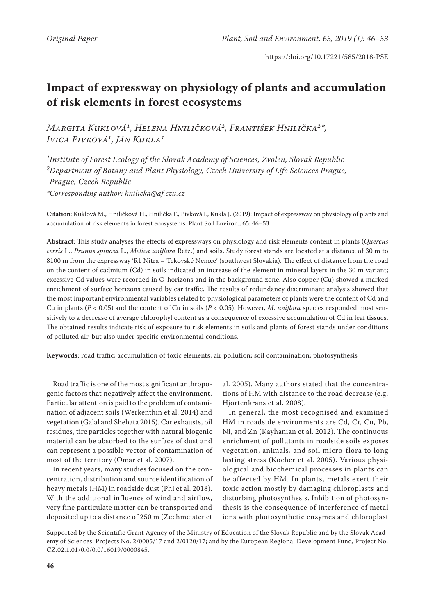# **Impact of expressway on physiology of plants and accumulation of risk elements in forest ecosystems**

*Margita Kuklová1, Helena Hniličková2, František Hnilička2\*, Ivica Pivková1, Ján Kukla1*

*1Institute of Forest Ecology of the Slovak Academy of Sciences, Zvolen, Slovak Republic 2Department of Botany and Plant Physiology, Czech University of Life Sciences Prague, Prague, Czech Republic \*Corresponding author: hnilicka@af.czu.cz*

**Citation**: Kuklová M., Hniličková H., Hnilička F., Pivková I., Kukla J. (2019): Impact of expressway on physiology of plants and accumulation of risk elements in forest ecosystems. Plant Soil Environ., 65: 46–53.

**Abstract**: This study analyses the effects of expressways on physiology and risk elements content in plants (*Quercus cerris* L., *Prunus spinosa* L., *Melica uniflora* Retz.) and soils. Study forest stands are located at a distance of 30 m to 8100 m from the expressway 'R1 Nitra – Tekovské Nemce' (southwest Slovakia). The effect of distance from the road on the content of cadmium (Cd) in soils indicated an increase of the element in mineral layers in the 30 m variant; excessive Cd values were recorded in O-horizons and in the background zone. Also copper (Cu) showed a marked enrichment of surface horizons caused by car traffic. The results of redundancy discriminant analysis showed that the most important environmental variables related to physiological parameters of plants were the content of Cd and Cu in plants ( $P < 0.05$ ) and the content of Cu in soils ( $P < 0.05$ ). However, *M. uniflora* species responded most sensitively to a decrease of average chlorophyl content as a consequence of excessive accumulation of Cd in leaf tissues. The obtained results indicate risk of exposure to risk elements in soils and plants of forest stands under conditions of polluted air, but also under specific environmental conditions.

**Keywords**: road traffic; accumulation of toxic elements; air pollution; soil contamination; photosynthesis

Road traffic is one of the most significant anthropogenic factors that negatively affect the environment. Particular attention is paid to the problem of contamination of adjacent soils (Werkenthin et al. 2014) and vegetation (Galal and Shehata 2015). Car exhausts, oil residues, tire particles together with natural biogenic material can be absorbed to the surface of dust and can represent a possible vector of contamination of most of the territory (Omar et al. 2007).

In recent years, many studies focused on the concentration, distribution and source identification of heavy metals (HM) in roadside dust (Phi et al. 2018). With the additional influence of wind and airflow, very fine particulate matter can be transported and deposited up to a distance of 250 m (Zechmeister et

al. 2005). Many authors stated that the concentrations of HM with distance to the road decrease (e.g. Hjortenkrans et al. 2008).

In general, the most recognised and examined HM in roadside environments are Cd, Cr, Cu, Pb, Ni, and Zn (Kayhanian et al. 2012). The continuous enrichment of pollutants in roadside soils exposes vegetation, animals, and soil micro-flora to long lasting stress (Kocher et al. 2005). Various physiological and biochemical processes in plants can be affected by HM. In plants, metals exert their toxic action mostly by damaging chloroplasts and disturbing photosynthesis. Inhibition of photosynthesis is the consequence of interference of metal ions with photosynthetic enzymes and chloroplast

Supported by the Scientific Grant Agency of the Ministry of Education of the Slovak Republic and by the Slovak Academy of Sciences, Projects No. 2/0005/17 and 2/0120/17; and by the European Regional Development Fund, Project No. CZ.02.1.01/0.0/0.0/16019/0000845.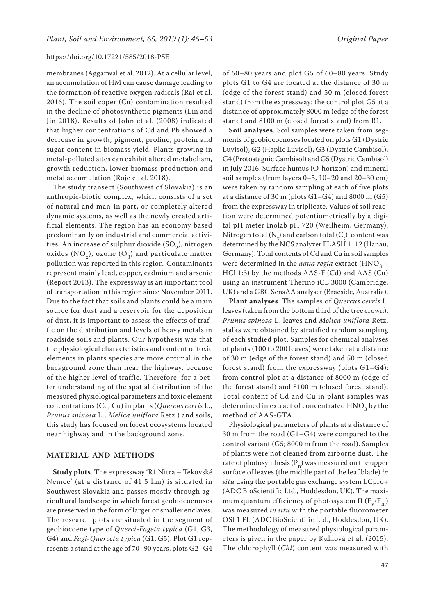membranes (Aggarwal et al. 2012). At a cellular level, an accumulation of HM can cause damage leading to the formation of reactive oxygen radicals (Rai et al. 2016). The soil coper (Cu) contamination resulted in the decline of photosynthetic pigments (Lin and Jin 2018). Results of John et al. (2008) indicated that higher concentrations of Cd and Pb showed a decrease in growth, pigment, proline, protein and sugar content in biomass yield. Plants growing in metal-polluted sites can exhibit altered metabolism, growth reduction, lower biomass production and metal accumulation (Roje et al. 2018).

The study transect (Southwest of Slovakia) is an anthropic-biotic complex, which consists of a set of natural and man-in part, or completely altered dynamic systems, as well as the newly created artificial elements. The region has an economy based predominantly on industrial and commercial activities. An increase of sulphur dioxide  $(SO<sub>2</sub>)$ , nitrogen oxides (NO<sub>x</sub>), ozone (O<sub>3</sub>) and particulate matter pollution was reported in this region. Contaminants represent mainly lead, copper, cadmium and arsenic (Report 2013). The expressway is an important tool of transportation in this region since November 2011. Due to the fact that soils and plants could be a main source for dust and a reservoir for the deposition of dust, it is important to assess the effects of traffic on the distribution and levels of heavy metals in roadside soils and plants. Our hypothesis was that the physiological characteristics and content of toxic elements in plants species are more optimal in the background zone than near the highway, because of the higher level of traffic. Therefore, for a better understanding of the spatial distribution of the measured physiological parameters and toxic element concentrations (Cd, Cu) in plants (*Quercus cerris* L*.*, *Prunus spinosa* L., *Melica uniflora* Retz.) and soils, this study has focused on forest ecosystems located near highway and in the background zone.

# **MATERIAL AND METHODS**

**Study plots**. The expressway 'R1 Nitra – Tekovské Nemce' (at a distance of 41.5 km) is situated in Southwest Slovakia and passes mostly through agricultural landscape in which forest geobiocoenoses are preserved in the form of larger or smaller enclaves. The research plots are situated in the segment of geobiocoene type of *Querci-Fageta typica* (G1, G3, G4) and *Fagi-Querceta typica* (G1, G5). Plot G1 represents a stand at the age of 70–90 years, plots G2–G4 of 60–80 years and plot G5 of 60–80 years. Study plots G1 to G4 are located at the distance of 30 m (edge of the forest stand) and 50 m (closed forest stand) from the expressway; the control plot G5 at a distance of approximately 8000 m (edge of the forest stand) and 8100 m (closed forest stand) from R1.

**Soil analyses**. Soil samples were taken from segments of geobiocoenoses located on plots G1 (Dystric Luvisol), G2 (Haplic Luvisol), G3 (Dystric Cambisol), G4 (Protostagnic Cambisol) and G5 (Dystric Cambisol) in July 2016. Surface humus (O-horizon) and mineral soil samples (from layers 0–5, 10–20 and 20–30 cm) were taken by random sampling at each of five plots at a distance of 30 m (plots G1–G4) and 8000 m (G5) from the expressway in triplicate. Values of soil reaction were determined potentiometrically by a digital pH meter Inolab pH 720 (Weilheim, Germany). Nitrogen total ( $N_t$ ) and carbon total ( $C_t$ ) content was determined by the NCS analyzer FLASH 1112 (Hanau, Germany). Total contents of Cd and Cu in soil samples were determined in the *aqua regia* extract (HNO<sub>3</sub> + HCl 1:3) by the methods AAS-F (Cd) and AAS (Cu) using an instrument Thermo iCE 3000 (Cambridge, UK) and a GBC SensAA analyser (Braeside, Australia).

**Plant analyses**. The samples of *Quercus cerris* L*.*  leaves (taken from the bottom third of the tree crown), *Prunus spinosa* L. leaves and *Melica uniflora* Retz. stalks were obtained by stratified random sampling of each studied plot. Samples for chemical analyses of plants (100 to 200 leaves) were taken at a distance of 30 m (edge of the forest stand) and 50 m (closed forest stand) from the expressway (plots G1–G4); from control plot at a distance of 8000 m (edge of the forest stand) and 8100 m (closed forest stand). Total content of Cd and Cu in plant samples was determined in extract of concentrated  $HNO<sub>3</sub>$  by the method of AAS-GTA.

Physiological parameters of plants at a distance of 30 m from the road (G1–G4) were compared to the control variant (G5; 8000 m from the road). Samples of plants were not cleaned from airborne dust. The rate of photosynthesis  $(P_n)$  was measured on the upper surface of leaves (the middle part of the leaf blade) *in situ* using the portable gas exchange system LCpro+ (ADC BioScientific Ltd., Hoddesdon, UK). The maximum quantum efficiency of photosystem II  $(F_v/F_m)$ was measured *in situ* with the portable fluorometer OSI 1 FL (ADC BioScientific Ltd., Hoddesdon, UK). The methodology of measured physiological parameters is given in the paper by Kuklová et al. (2015). The chlorophyll (*Chl*) content was measured with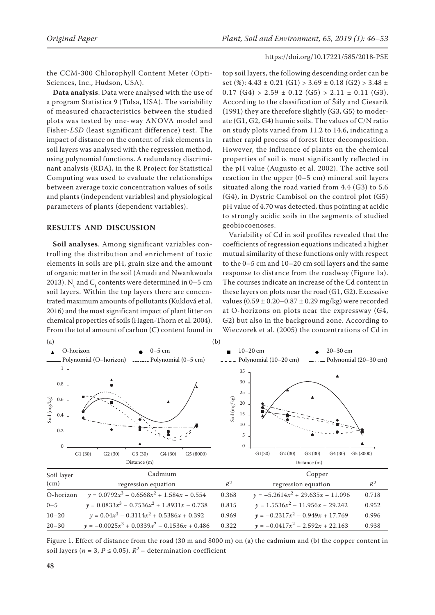the CCM-300 Chlorophyll Content Meter (Opti-Sciences, Inc., Hudson, USA).

**Data analysis**. Data were analysed with the use of a program Statistica 9 (Tulsa, USA). The variability of measured characteristics between the studied plots was tested by one-way ANOVA model and Fisher-*LSD* (least significant difference) test. The impact of distance on the content of risk elements in soil layers was analysed with the regression method, using polynomial functions. A redundancy discriminant analysis (RDA), in the R Project for Statistical Computing was used to evaluate the relationships between average toxic concentration values of soils and plants (independent variables) and physiological parameters of plants (dependent variables).

# **RESULTS AND DISCUSSION**

**Soil analyses**. Among significant variables controlling the distribution and enrichment of toxic elements in soils are pH, grain size and the amount of organic matter in the soil (Amadi and Nwankwoala 2013).  $\mathrm{N_{t}}$  and  $\mathrm{C_{t}}$  contents were determined in 0–5 cm soil layers. Within the top layers there are concentrated maximum amounts of pollutants (Kuklová et al. 2016) and the most significant impact of plant litter on chemical properties of soils (Hagen-Thorn et al. 2004). From the total amount of carbon (C) content found in

top soil layers, the following descending order can be set (%):  $4.43 \pm 0.21$  (G1) >  $3.69 \pm 0.18$  (G2) >  $3.48 \pm 0.18$  $0.17$  (G4) > 2.59 ± 0.12 (G5) > 2.11 ± 0.11 (G3). According to the classification of Šály and Ciesarik (1991) they are therefore slightly (G3, G5) to moderate (G1, G2, G4) humic soils. The values of C/N ratio on study plots varied from 11.2 to 14.6, indicating a rather rapid process of forest litter decomposition. However, the influence of plants on the chemical properties of soil is most significantly reflected in the pH value (Augusto et al. 2002). The active soil reaction in the upper (0–5 cm) mineral soil layers situated along the road varied from 4.4 (G3) to 5.6 (G4), in Dystric Cambisol on the control plot (G5) pH value of 4.70 was detected, thus pointing at acidic to strongly acidic soils in the segments of studied geobiocoenoses.

Variability of Cd in soil profiles revealed that the coefficients of regression equations indicated a higher mutual similarity of these functions only with respect to the 0–5 cm and 10–20 cm soil layers and the same response to distance from the roadway (Figure 1a). The courses indicate an increase of the Cd content in these layers on plots near the road (G1, G2). Excessive values  $(0.59 \pm 0.20 - 0.87 \pm 0.29 \text{ mg/kg})$  were recorded at O-horizons on plots near the expressway (G4, G2) but also in the background zone. According to Wieczorek et al. (2005) the concentrations of Cd in



Figure 1. Effect of distance from the road (30 m and 8000 m) on (a) the cadmium and (b) the copper content in soil layers ( $n = 3$ ,  $P \le 0.05$ ).  $R^2$  – determination coefficient

20–30  $y = -0.0025x^3 + 0.0339x^2 - 0.1536x + 0.486$  0.322  $y = -0.0417x^2 - 2.592x + 22.163$  0.938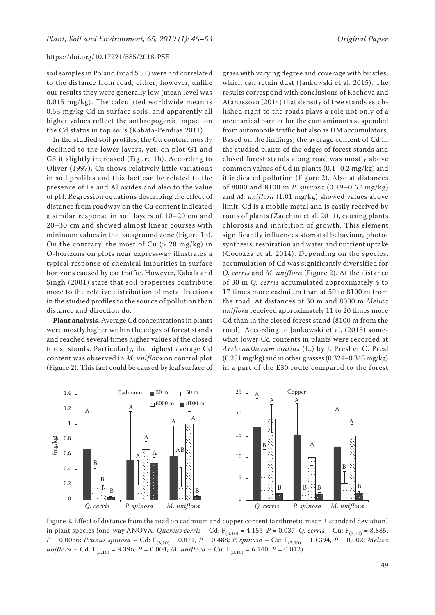soil samples in Poland (road S 51) were not correlated to the distance from road, either; however, unlike our results they were generally low (mean level was 0.015 mg/kg). The calculated worldwide mean is 0.53 mg/kg Cd in surface soils, and apparently all higher values reflect the anthropogenic impact on the Cd status in top soils (Kabata-Pendias 2011).

In the studied soil profiles, the Cu content mostly declined to the lower layers, yet, on plot G1 and G5 it slightly increased (Figure 1b). According to Oliver (1997), Cu shows relatively little variations in soil profiles and this fact can be related to the presence of Fe and Al oxides and also to the value of pH. Regression equations describing the effect of distance from roadway on the Cu content indicated a similar response in soil layers of 10–20 cm and 20–30 cm and showed almost linear courses with minimum values in the background zone (Figure 1b). On the contrary, the most of  $Cu$  ( $> 20$  mg/kg) in O-horizons on plots near expressway illustrates a typical response of chemical impurities in surface horizons caused by car traffic. However, Kabala and Singh (2001) state that soil properties contribute more to the relative distribution of metal fractions in the studied profiles to the source of pollution than distance and direction do.

**Plant analysis**. Average Cd concentrations in plants were mostly higher within the edges of forest stands and reached several times higher values of the closed forest stands. Particularly, the highest average Cd content was observed in *M. uniflora* on control plot (Figure 2). This fact could be caused by leaf surface of

grass with varying degree and coverage with bristles, which can retain dust (Jankowski et al. 2015). The results correspond with conclusions of Kachova and Atanassova (2014) that density of tree stands established right to the roads plays a role not only of a mechanical barrier for the contaminants suspended from automobile traffic but also as HM accumulators. Based on the findings, the average content of Cd in the studied plants of the edges of forest stands and closed forest stands along road was mostly above common values of Cd in plants (0.1–0.2 mg/kg) and it indicated pollution (Figure 2). Also at distances of 8000 and 8100 m *P. spinosa* (0.49–0.67 mg/kg) and *M. uniflora* (1.01 mg/kg) showed values above limit. Cd is a mobile metal and is easily received by roots of plants (Zacchini et al. 2011), causing plants chlorosis and inhibition of growth. This element significantly influences stomatal behaviour, photosynthesis, respiration and water and nutrient uptake (Cocozza et al. 2014). Depending on the species, accumulation of Cd was significantly diversified for *Q. cerris* and *M. uniflora* (Figure 2). At the distance of 30 m *Q. cerris* accumulated approximately 4 to 17 times more cadmium than at 50 to 8100 m from the road. At distances of 30 m and 8000 m *Melica uniflora* received approximately 11 to 20 times more Cd than in the closed forest stand (8100 m from the road). According to Jankowski et al. (2015) somewhat lower Cd contents in plants were recorded at *Arrhenatherum elatius* (L.) by J. Presl et C. Presl  $(0.251 \text{ mg/kg})$  and in other grasses  $(0.324 - 0.345 \text{ mg/kg})$ in a part of the E30 route compared to the forest



Figure 2. Effect of distance from the road on cadmium and copper content (arithmetic mean ± standard deviation) in plant species (one-way ANOVA, *Quercus cerris* – Cd: F(3,10) = 4.155, *P* = 0.037; *Q. cerris* – Cu: F(3,10) = 8.885, *P* = 0.0036; *Prunus spinosa* – Cd: F(3,10) = 0.871, *P* = 0.488; *P. spinosa* – Cu: F(3,10) = 10.394, *P* = 0.002; *Melica uniflora* – Cd:  $F_{(3,10)} = 8.396$ , *P* = 0.004; *M. uniflora* – Cu:  $F_{(3,10)} = 6.140$ , *P* = 0.012)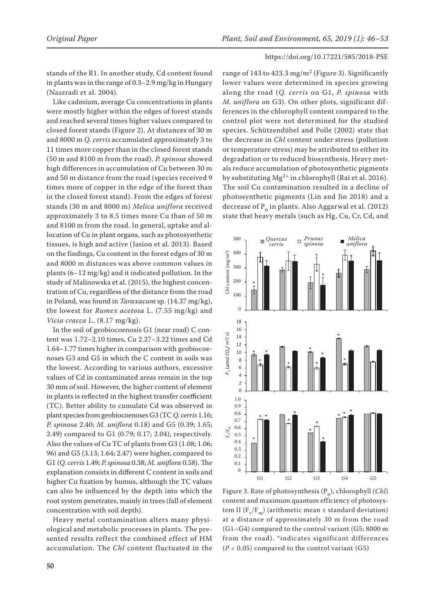stands of the R1. In another study, Cd content found in plants was in the range of 0.3–2.9 mg/kg in Hungary (Naszradi et al. 2004).

Like cadmium, average Cu concentrations in plants were mostly higher within the edges of forest stands and reached several times higher values compared to closed forest stands (Figure 2). At distances of 30 m and 8000 m *Q. cerris* accumulated approximately 3 to 11 times more copper than in the closed forest stands (50 m and 8100 m from the road). *P. spinosa* showed high differences in accumulation of Cu between 30 m and 50 m distance from the road (species received 9 times more of copper in the edge of the forest than in the closed forest stand). From the edges of forest stands (30 m and 8000 m) *Melica uniflora* received approximately 3 to 8.5 times more Cu than of 50 m and 8100 m from the road. In general, uptake and allocation of Cu in plant organs, such as photosynthetic tissues, is high and active (Jasion et al. 2013). Based on the findings, Cu content in the forest edges of 30 m and 8000 m distances was above common values in plants (6–12 mg/kg) and it indicated pollution. In the study of Malinowska et al. (2015), the highest concentration of Cu, regardless of the distance from the road in Poland, was found in *Taraxacum* sp. (14.37 mg/kg), the lowest for *Rumex acetosa* L. (7.55 mg/kg) and *Vicia cracca* L. (8.17 mg/kg).

In the soil of geobiocoenosis G1 (near road) C content was 1.72–2.10 times, Cu 2.27–3.22 times and Cd 1.64–1.77 times higher in comparison with geobiocoenoses G3 and G5 in which the C content in soils was the lowest. According to various authors, excessive values of Cd in contaminated areas remain in the top 30 mm of soil. However, the higher content of element in plants is reflected in the highest transfer coefficient (TC). Better ability to cumulate Cd was observed in plant species from geobiocoenoses G3 (TC *Q. cerris* 1.16; *P. spinosa* 2.40; *M. uniflora* 0.18) and G5 (0.39; 1.65; 2.49) compared to G1 (0.79; 0.17; 2.04), respectively. Also the values of Cu TC of plants from G3 (1.08; 1.06; 96) and G5 (3.13; 1.64; 2.47) were higher, compared to G1 (*Q. cerris* 1.49; *P. spinosa* 0.38; *M. uniflora* 0.58). The explanation consists in different C content in soils and higher Cu fixation by humus, although the TC values can also be influenced by the depth into which the root system penetrates, mainly in trees (fall of element concentration with soil depth).

Heavy metal contamination alters many physiological and metabolic processes in plants. The presented results reflect the combined effect of HM accumulation. The *Chl* content fluctuated in the

range of 143 to 423.3 mg/m<sup>2</sup> (Figure 3). Significantly lower values were determined in species growing along the road (*Q. cerris* on G1, *P. spinosa* with *M. uniflora* on G3). On other plots, significant differences in the chlorophyll content compared to the control plot were not determined for the studied species. Schützendübel and Polle (2002) state that the decrease in *Chl* content under stress (pollution or temperature stress) may be attributed to either its degradation or to reduced biosynthesis. Heavy metals reduce accumulation of photosynthetic pigments 300 by substituting  $Mg^{2+}$  in chlorophyll (Rai et al. 2016). The soil Cu contamination resulted in a decline of photosynthetic pigments (Lin and Jin 2018) and a decrease of  $P_n$  in plants. Also Aggarwal et al. (2012) state that heavy metals (such as  $Hg$ ,  $Cu$ ,  $Cr$ ,  $Cd$ , and  $\alpha$  incavy inclais (such as Fig, Ou, OI, O



Figure 3. Rate of photosynthesis  $(P_n)$ , chlorophyll (*Chl*) content and maximum quantum efficiency of photosystem II ( $F_v/F_m$ ) (arithmetic mean  $\pm$  standard deviation) at a distance of approximately 30 m from the road (G1–G4) compared to the control variant (G5; 8000 m from the road). \*indicates significant differences  $(P < 0.05)$  compared to the control variant (G5) .<br>...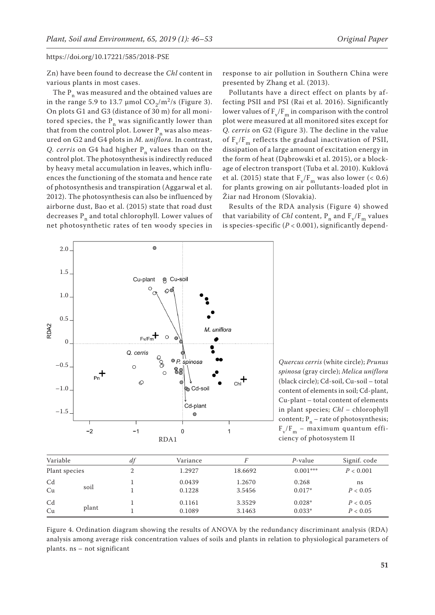Zn) have been found to decrease the *Chl* content in various plants in most cases.

The  $P_n$  was measured and the obtained values are in the range 5.9 to 13.7 µmol  $CO_2/m^2/s$  (Figure 3). On plots G1 and G3 (distance of 30 m) for all monitored species, the  $P_n$  was significantly lower than that from the control plot. Lower  $P_n$  was also measured on G2 and G4 plots in *M. uniflora.* In contrast, *Q. cerris* on G4 had higher P<sub>n</sub> values than on the control plot. The photosynthesis is indirectly reduced by heavy metal accumulation in leaves, which influences the functioning of the stomata and hence rate of photosynthesis and transpiration (Aggarwal et al. 2012). The photosynthesis can also be influenced by airborne dust, Bao et al. (2015) state that road dust decreases  $P_n$  and total chlorophyll. Lower values of net photosynthetic rates of ten woody species in

response to air pollution in Southern China were presented by Zhang et al. (2013).

Pollutants have a direct effect on plants by affecting PSII and PSI (Rai et al. 2016). Significantly lower values of  $F_v/F_m$  in comparison with the control plot were measured at all monitored sites except for *Q. cerris* on G2 (Figure 3). The decline in the value of  $F_v/F_m$  reflects the gradual inactivation of PSII, dissipation of a large amount of excitation energy in the form of heat (Dąbrowski et al. 2015), or a blockage of electron transport (Tuba et al. 2010). Kuklová et al. (2015) state that  $F_v/F_m$  was also lower (< 0.6) for plants growing on air pollutants-loaded plot in Žiar nad Hronom (Slovakia).

Results of the RDA analysis (Figure 4) showed that variability of *Chl* content,  $P_n$  and  $F_v/F_m$  values is species-specific  $(P < 0.001)$ , significantly depend-



*Quercus cerris* (white circle); *Prunus spinosa* (gray circle); *Melica uniflora* (black circle); Cd-soil, Cu-soil – total content of elements in soil; Cd-plant, Cu-plant – total content of elements in plant species; *Chl* – chlorophyll content;  $P_n$  – rate of photosynthesis;  $F_v/F_m$  – maximum quantum efficiency of photosystem II

| Variable<br>Plant species |       | dt | Variance         |                  | P-value              | Signif. code         |
|---------------------------|-------|----|------------------|------------------|----------------------|----------------------|
|                           |       |    | 1.2927           | 18.6692          | $0.001***$           | P < 0.001            |
| C <sub>d</sub><br>Cu      | soil  |    | 0.0439<br>0.1228 | 1.2670<br>3.5456 | 0.268<br>$0.017*$    | ns<br>P < 0.05       |
| C <sub>d</sub><br>Cu      | plant |    | 0.1161<br>0.1089 | 3.3529<br>3.1463 | $0.028*$<br>$0.033*$ | P < 0.05<br>P < 0.05 |

Figure 4. Ordination diagram showing the results of ANOVA by the redundancy discriminant analysis (RDA) analysis among average risk concentration values of soils and plants in relation to physiological parameters of plants. ns – not significant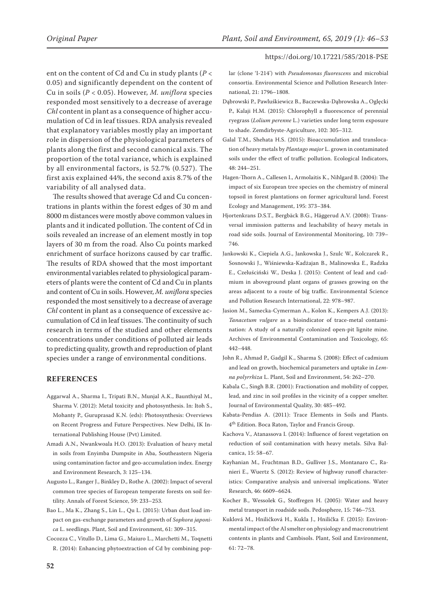ent on the content of Cd and Cu in study plants (*P* < 0.05) and significantly dependent on the content of Cu in soils (*P* < 0.05). However, *M. uniflora* species responded most sensitively to a decrease of average *Chl* content in plant as a consequence of higher accumulation of Cd in leaf tissues. RDA analysis revealed that explanatory variables mostly play an important role in dispersion of the physiological parameters of plants along the first and second canonical axis. The proportion of the total variance, which is explained by all environmental factors, is 52.7% (0.527). The first axis explained 44%, the second axis 8.7% of the variability of all analysed data.

The results showed that average Cd and Cu concentrations in plants within the forest edges of 30 m and 8000 m distances were mostly above common values in plants and it indicated pollution. The content of Cd in soils revealed an increase of an element mostly in top layers of 30 m from the road. Also Cu points marked enrichment of surface horizons caused by car traffic. The results of RDA showed that the most important environmental variables related to physiological parameters of plants were the content of Cd and Cu in plants and content of Cu in soils. However, *M. uniflora* species responded the most sensitively to a decrease of average *Chl* content in plant as a consequence of excessive accumulation of Cd in leaf tissues. The continuity of such research in terms of the studied and other elements concentrations under conditions of polluted air leads to predicting quality, growth and reproduction of plant species under a range of environmental conditions.

## **REFERENCES**

- Aggarwal A., Sharma I., Tripati B.N., Munjal A.K., Baunthiyal M., Sharma V. (2012): Metal toxicity and photosynthesis. In: Itoh S., Mohanty P., Guruprasad K.N. (eds): Photosynthesis: Overviews on Recent Progress and Future Perspectives. New Delhi, IK International Publishing House (Pvt) Limited.
- Amadi A.N., Nwankwoala H.O. (2013): Evaluation of heavy metal in soils from Enyimba Dumpsite in Aba, Southeastern Nigeria using contamination factor and geo-accumulation index. Energy and Environment Research, 3: 125–134.
- Augusto L., Ranger J., Binkley D., Rothe A. (2002): Impact of several common tree species of European temperate forests on soil fertility. Annals of Forest Science, 59: 233–253.
- Bao L., Ma K., Zhang S., Lin L., Qu L. (2015): Urban dust load impact on gas-exchange parameters and growth of *Sophora japonica* L. seedlings. Plant, Soil and Environment, 61: 309–315.
- Cocozza C., Vitullo D., Lima G., Maiuro L., Marchetti M., Toqnetti R. (2014): Enhancing phytoextraction of Cd by combining pop-

lar (clone 'I-214') with *Pseudomonas fluorescens* and microbial consortia. Environmental Science and Pollution Research International, 21: 1796–1808.

- Dąbrowski P., Pawluśkiewicz B., Baczewska-Dąbrowska A., Oglęcki P., Kalaji H.M. (2015): Chlorophyll a fluorescence of perennial ryegrass (*Lolium perenne* L.) varieties under long term exposure to shade. Zemdirbyste-Agriculture, 102: 305–312.
- Galal T.M., Shehata H.S. (2015): Bioaccumulation and translocation of heavy metals by *Plantago major* L. grown in contaminated soils under the effect of traffic pollution. Ecological Indicators, 48: 244–251.
- Hagen-Thorn A., Callesen I., Armolaitis K., Nihlgard B. (2004): The impact of six European tree species on the chemistry of mineral topsoil in forest plantations on former agricultural land. Forest Ecology and Management, 195: 373–384.
- Hjortenkrans D.S.T., Bergbäck B.G., Häggerud A.V. (2008): Transversal immission patterns and leachability of heavy metals in road side soils. Journal of Environmental Monitoring, 10: 739– 746.
- Jankowski K., Ciepiela A.G., Jankowska J., Szulc W., Kolczarek R., Sosnowski J., Wiśniewska-Kadżajan B., Malinowska E., Radzka E., Czeluściński W., Deska J. (2015): Content of lead and cadmium in aboveground plant organs of grasses growing on the areas adjacent to a route of big traffic. Environmental Science and Pollution Research International, 22: 978–987.
- Jasion M., Samecka-Cymerman A., Kolon K., Kempers A.J. (2013): *Tanacetum vulgare* as a bioindicator of trace-metal contamination: A study of a naturally colonized open-pit lignite mine. Archives of Environmental Contamination and Toxicology, 65: 442–448.
- John R., Ahmad P., Gadgil K., Sharma S. (2008): Effect of cadmium and lead on growth, biochemical parameters and uptake in *Lemna polyrrhiza* L. Plant, Soil and Environment, 54: 262–270.
- Kabala C., Singh B.R. (2001): Fractionation and mobility of copper, lead, and zinc in soil profiles in the vicinity of a copper smelter. Journal of Environmental Quality, 30: 485–492.
- Kabata-Pendias A. (2011): Trace Elements in Soils and Plants. 4th Edition. Boca Raton, Taylor and Francis Group.
- Kachova V., Atanassova I. (2014): Influence of forest vegetation on reduction of soil contamination with heavy metals. Silva Balcanica, 15: 58–67.
- Kayhanian M., Fruchtman B.D., Gulliver J.S., Montanaro C., Ranieri E., Wuertz S. (2012): Review of highway runoff characteristics: Comparative analysis and universal implications. Water Research, 46: 6609–6624.
- Kocher B., Wessolek G., Stoffregen H. (2005): Water and heavy metal transport in roadside soils. Pedosphere, 15: 746–753.
- Kuklová M., Hniličková H., Kukla J., Hnilička F. (2015): Environmental impact of the Al smelter on physiology and macronutrient contents in plants and Cambisols. Plant, Soil and Environment, 61: 72–78.